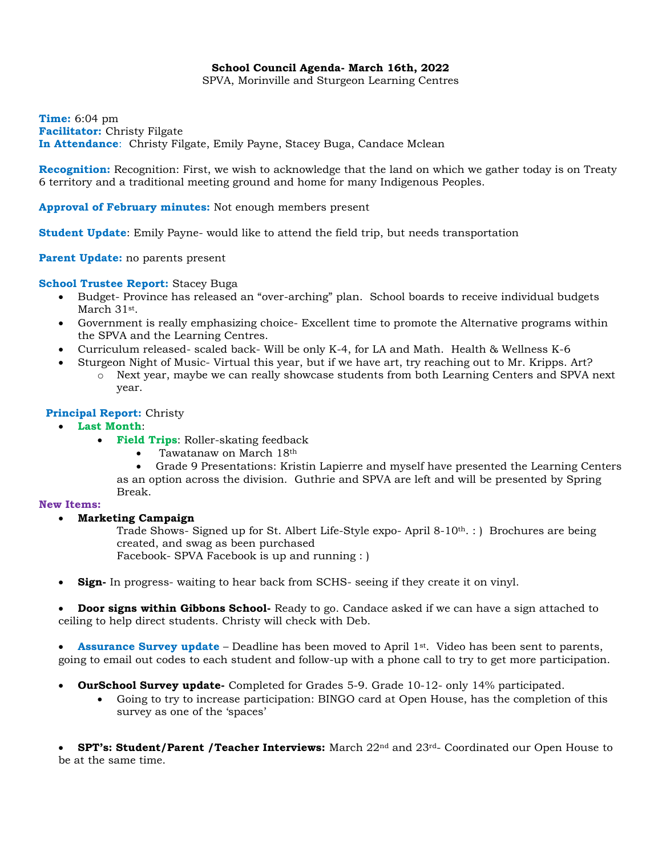## **School Council Agenda- March 16th, 2022**

SPVA, Morinville and Sturgeon Learning Centres

**Time:** 6:04 pm **Facilitator:** Christy Filgate **In Attendance**: Christy Filgate, Emily Payne, Stacey Buga, Candace Mclean

**Recognition:** Recognition: First, we wish to acknowledge that the land on which we gather today is on Treaty 6 territory and a traditional meeting ground and home for many Indigenous Peoples.

### **Approval of February minutes:** Not enough members present

**Student Update**: Emily Payne- would like to attend the field trip, but needs transportation

**Parent Update:** no parents present

### **School Trustee Report:** Stacey Buga

- Budget- Province has released an "over-arching" plan. School boards to receive individual budgets March 31st .
- Government is really emphasizing choice- Excellent time to promote the Alternative programs within the SPVA and the Learning Centres.
- Curriculum released- scaled back- Will be only K-4, for LA and Math. Health & Wellness K-6
- Sturgeon Night of Music- Virtual this year, but if we have art, try reaching out to Mr. Kripps. Art? o Next year, maybe we can really showcase students from both Learning Centers and SPVA next

# **Principal Report:** Christy

year.

- **Last Month**:
	- **Field Trips**: Roller-skating feedback
		- Tawatanaw on March 18th
		- Grade 9 Presentations: Kristin Lapierre and myself have presented the Learning Centers as an option across the division. Guthrie and SPVA are left and will be presented by Spring Break.

### **New Items:**

• **Marketing Campaign**

Trade Shows- Signed up for St. Albert Life-Style expo- April 8-10th. : ) Brochures are being created, and swag as been purchased Facebook- SPVA Facebook is up and running : )

• **Sign-** In progress- waiting to hear back from SCHS- seeing if they create it on vinyl.

• **Door signs within Gibbons School-** Ready to go. Candace asked if we can have a sign attached to ceiling to help direct students. Christy will check with Deb.

• **Assurance Survey update** – Deadline has been moved to April 1st. Video has been sent to parents, going to email out codes to each student and follow-up with a phone call to try to get more participation.

- **OurSchool Survey update-** Completed for Grades 5-9. Grade 10-12- only 14% participated.
	- Going to try to increase participation: BINGO card at Open House, has the completion of this survey as one of the 'spaces'

• **SPT's: Student/Parent /Teacher Interviews:** March 22nd and 23rd- Coordinated our Open House to be at the same time.